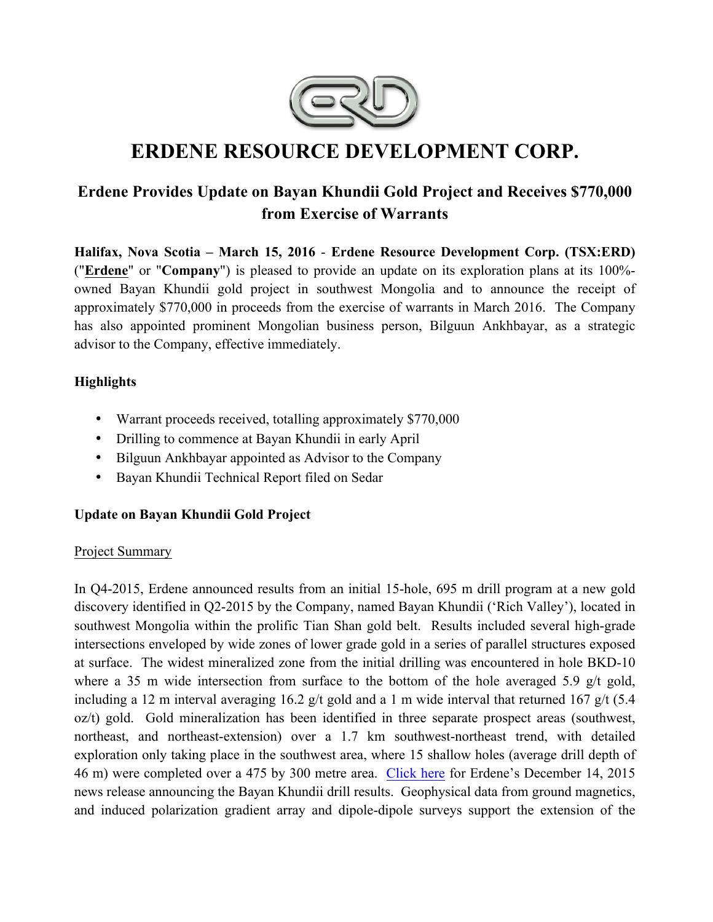

# **ERDENE RESOURCE DEVELOPMENT CORP.**

# **Erdene Provides Update on Bayan Khundii Gold Project and Receives \$770,000 from Exercise of Warrants**

**Halifax, Nova Scotia – March 15, 2016** - **Erdene Resource Development Corp. (TSX:ERD)**  ("**Erdene**" or "**Company**") is pleased to provide an update on its exploration plans at its 100% owned Bayan Khundii gold project in southwest Mongolia and to announce the receipt of approximately \$770,000 in proceeds from the exercise of warrants in March 2016. The Company has also appointed prominent Mongolian business person, Bilguun Ankhbayar, as a strategic advisor to the Company, effective immediately.

## **Highlights**

- Warrant proceeds received, totalling approximately \$770,000
- Drilling to commence at Bayan Khundii in early April
- Bilguun Ankhbayar appointed as Advisor to the Company
- Bayan Khundii Technical Report filed on Sedar

# **Update on Bayan Khundii Gold Project**

#### Project Summary

In Q4-2015, Erdene announced results from an initial 15-hole, 695 m drill program at a new gold discovery identified in Q2-2015 by the Company, named Bayan Khundii ('Rich Valley'), located in southwest Mongolia within the prolific Tian Shan gold belt. Results included several high-grade intersections enveloped by wide zones of lower grade gold in a series of parallel structures exposed at surface. The widest mineralized zone from the initial drilling was encountered in hole BKD-10 where a 35 m wide intersection from surface to the bottom of the hole averaged 5.9 g/t gold, including a 12 m interval averaging 16.2 g/t gold and a 1 m wide interval that returned 167 g/t (5.4 oz/t) gold. Gold mineralization has been identified in three separate prospect areas (southwest, northeast, and northeast-extension) over a 1.7 km southwest-northeast trend, with detailed exploration only taking place in the southwest area, where 15 shallow holes (average drill depth of 46 m) were completed over a 475 by 300 metre area. Click here for Erdene's December 14, 2015 news release announcing the Bayan Khundii drill results. Geophysical data from ground magnetics, and induced polarization gradient array and dipole-dipole surveys support the extension of the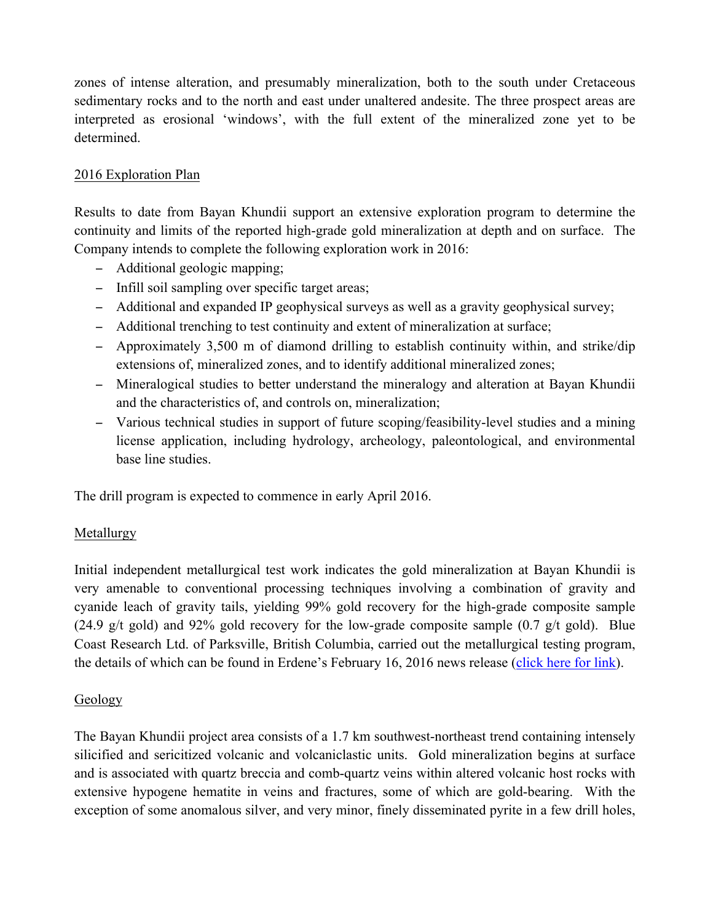zones of intense alteration, and presumably mineralization, both to the south under Cretaceous sedimentary rocks and to the north and east under unaltered andesite. The three prospect areas are interpreted as erosional 'windows', with the full extent of the mineralized zone yet to be determined.

# 2016 Exploration Plan

Results to date from Bayan Khundii support an extensive exploration program to determine the continuity and limits of the reported high-grade gold mineralization at depth and on surface. The Company intends to complete the following exploration work in 2016:

- − Additional geologic mapping;
- − Infill soil sampling over specific target areas;
- − Additional and expanded IP geophysical surveys as well as a gravity geophysical survey;
- − Additional trenching to test continuity and extent of mineralization at surface;
- − Approximately 3,500 m of diamond drilling to establish continuity within, and strike/dip extensions of, mineralized zones, and to identify additional mineralized zones;
- − Mineralogical studies to better understand the mineralogy and alteration at Bayan Khundii and the characteristics of, and controls on, mineralization;
- − Various technical studies in support of future scoping/feasibility-level studies and a mining license application, including hydrology, archeology, paleontological, and environmental base line studies.

The drill program is expected to commence in early April 2016.

#### Metallurgy

Initial independent metallurgical test work indicates the gold mineralization at Bayan Khundii is very amenable to conventional processing techniques involving a combination of gravity and cyanide leach of gravity tails, yielding 99% gold recovery for the high-grade composite sample (24.9 g/t gold) and 92% gold recovery for the low-grade composite sample  $(0.7 \text{ g/t} \text{ gold})$ . Blue Coast Research Ltd. of Parksville, British Columbia, carried out the metallurgical testing program, the details of which can be found in Erdene's February 16, 2016 news release (click here for link).

#### Geology

The Bayan Khundii project area consists of a 1.7 km southwest-northeast trend containing intensely silicified and sericitized volcanic and volcaniclastic units. Gold mineralization begins at surface and is associated with quartz breccia and comb-quartz veins within altered volcanic host rocks with extensive hypogene hematite in veins and fractures, some of which are gold-bearing. With the exception of some anomalous silver, and very minor, finely disseminated pyrite in a few drill holes,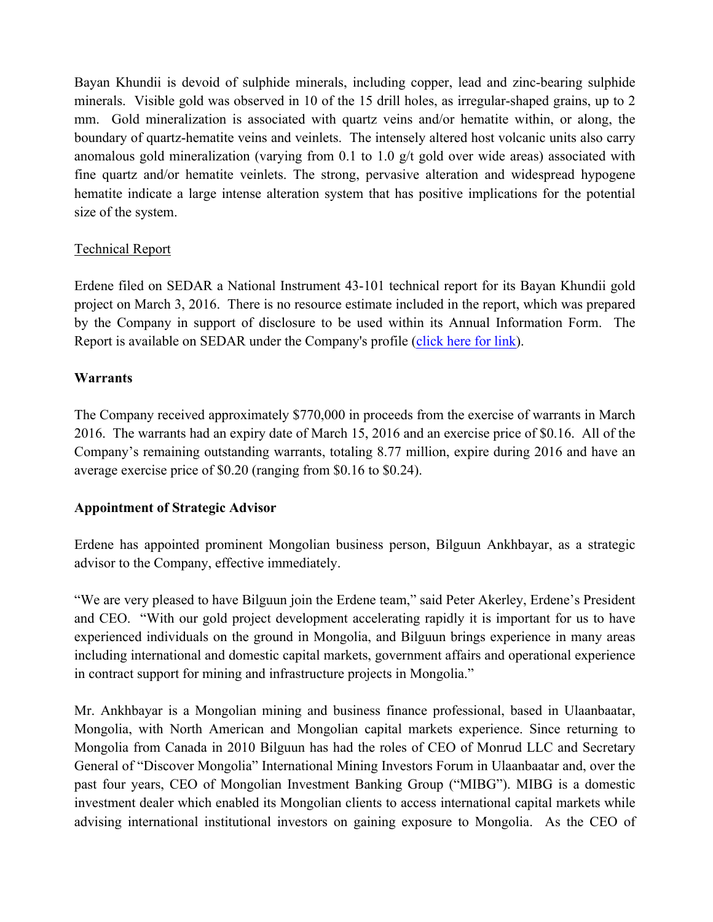Bayan Khundii is devoid of sulphide minerals, including copper, lead and zinc-bearing sulphide minerals. Visible gold was observed in 10 of the 15 drill holes, as irregular-shaped grains, up to 2 mm. Gold mineralization is associated with quartz veins and/or hematite within, or along, the boundary of quartz-hematite veins and veinlets. The intensely altered host volcanic units also carry anomalous gold mineralization (varying from 0.1 to 1.0 g/t gold over wide areas) associated with fine quartz and/or hematite veinlets. The strong, pervasive alteration and widespread hypogene hematite indicate a large intense alteration system that has positive implications for the potential size of the system.

#### Technical Report

Erdene filed on SEDAR a National Instrument 43-101 technical report for its Bayan Khundii gold project on March 3, 2016. There is no resource estimate included in the report, which was prepared by the Company in support of disclosure to be used within its Annual Information Form. The Report is available on SEDAR under the Company's profile (click here for link).

## **Warrants**

The Company received approximately \$770,000 in proceeds from the exercise of warrants in March 2016. The warrants had an expiry date of March 15, 2016 and an exercise price of \$0.16. All of the Company's remaining outstanding warrants, totaling 8.77 million, expire during 2016 and have an average exercise price of \$0.20 (ranging from \$0.16 to \$0.24).

#### **Appointment of Strategic Advisor**

Erdene has appointed prominent Mongolian business person, Bilguun Ankhbayar, as a strategic advisor to the Company, effective immediately.

"We are very pleased to have Bilguun join the Erdene team," said Peter Akerley, Erdene's President and CEO. "With our gold project development accelerating rapidly it is important for us to have experienced individuals on the ground in Mongolia, and Bilguun brings experience in many areas including international and domestic capital markets, government affairs and operational experience in contract support for mining and infrastructure projects in Mongolia."

Mr. Ankhbayar is a Mongolian mining and business finance professional, based in Ulaanbaatar, Mongolia, with North American and Mongolian capital markets experience. Since returning to Mongolia from Canada in 2010 Bilguun has had the roles of CEO of Monrud LLC and Secretary General of "Discover Mongolia" International Mining Investors Forum in Ulaanbaatar and, over the past four years, CEO of Mongolian Investment Banking Group ("MIBG"). MIBG is a domestic investment dealer which enabled its Mongolian clients to access international capital markets while advising international institutional investors on gaining exposure to Mongolia. As the CEO of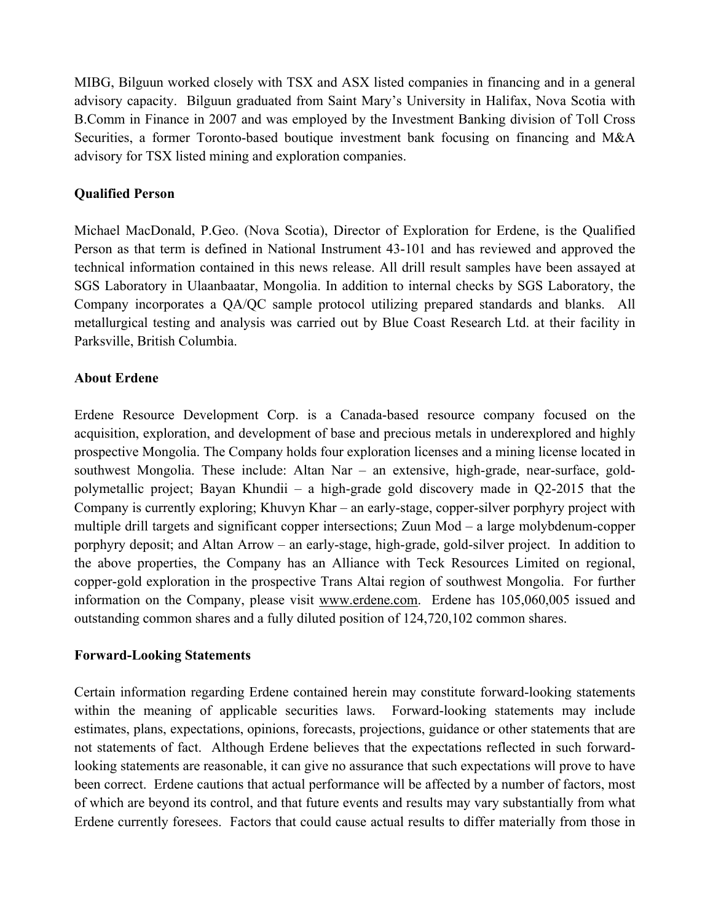MIBG, Bilguun worked closely with TSX and ASX listed companies in financing and in a general advisory capacity. Bilguun graduated from Saint Mary's University in Halifax, Nova Scotia with B.Comm in Finance in 2007 and was employed by the Investment Banking division of Toll Cross Securities, a former Toronto-based boutique investment bank focusing on financing and M&A advisory for TSX listed mining and exploration companies.

#### **Qualified Person**

Michael MacDonald, P.Geo. (Nova Scotia), Director of Exploration for Erdene, is the Qualified Person as that term is defined in National Instrument 43-101 and has reviewed and approved the technical information contained in this news release. All drill result samples have been assayed at SGS Laboratory in Ulaanbaatar, Mongolia. In addition to internal checks by SGS Laboratory, the Company incorporates a QA/QC sample protocol utilizing prepared standards and blanks. All metallurgical testing and analysis was carried out by Blue Coast Research Ltd. at their facility in Parksville, British Columbia.

#### **About Erdene**

Erdene Resource Development Corp. is a Canada-based resource company focused on the acquisition, exploration, and development of base and precious metals in underexplored and highly prospective Mongolia. The Company holds four exploration licenses and a mining license located in southwest Mongolia. These include: Altan Nar – an extensive, high-grade, near-surface, goldpolymetallic project; Bayan Khundii – a high-grade gold discovery made in Q2-2015 that the Company is currently exploring; Khuvyn Khar – an early-stage, copper-silver porphyry project with multiple drill targets and significant copper intersections; Zuun Mod – a large molybdenum-copper porphyry deposit; and Altan Arrow – an early-stage, high-grade, gold-silver project. In addition to the above properties, the Company has an Alliance with Teck Resources Limited on regional, copper-gold exploration in the prospective Trans Altai region of southwest Mongolia. For further information on the Company, please visit www.erdene.com. Erdene has 105,060,005 issued and outstanding common shares and a fully diluted position of 124,720,102 common shares.

#### **Forward-Looking Statements**

Certain information regarding Erdene contained herein may constitute forward-looking statements within the meaning of applicable securities laws. Forward-looking statements may include estimates, plans, expectations, opinions, forecasts, projections, guidance or other statements that are not statements of fact. Although Erdene believes that the expectations reflected in such forwardlooking statements are reasonable, it can give no assurance that such expectations will prove to have been correct. Erdene cautions that actual performance will be affected by a number of factors, most of which are beyond its control, and that future events and results may vary substantially from what Erdene currently foresees. Factors that could cause actual results to differ materially from those in